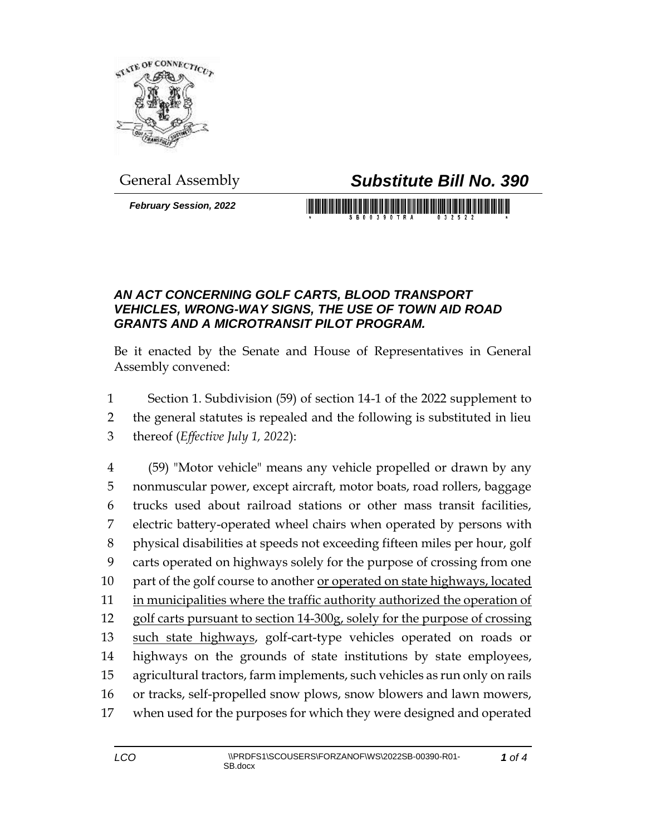

## General Assembly *Substitute Bill No. 390*

*February Session, 2022*

## 

## *AN ACT CONCERNING GOLF CARTS, BLOOD TRANSPORT VEHICLES, WRONG-WAY SIGNS, THE USE OF TOWN AID ROAD GRANTS AND A MICROTRANSIT PILOT PROGRAM.*

Be it enacted by the Senate and House of Representatives in General Assembly convened:

- Section 1. Subdivision (59) of section 14-1 of the 2022 supplement to
- the general statutes is repealed and the following is substituted in lieu
- thereof (*Effective July 1, 2022*):

 (59) "Motor vehicle" means any vehicle propelled or drawn by any nonmuscular power, except aircraft, motor boats, road rollers, baggage trucks used about railroad stations or other mass transit facilities, electric battery-operated wheel chairs when operated by persons with physical disabilities at speeds not exceeding fifteen miles per hour, golf carts operated on highways solely for the purpose of crossing from one part of the golf course to another or operated on state highways, located in municipalities where the traffic authority authorized the operation of golf carts pursuant to section 14-300g, solely for the purpose of crossing 13 such state highways, golf-cart-type vehicles operated on roads or highways on the grounds of state institutions by state employees, agricultural tractors, farm implements, such vehicles as run only on rails or tracks, self-propelled snow plows, snow blowers and lawn mowers, when used for the purposes for which they were designed and operated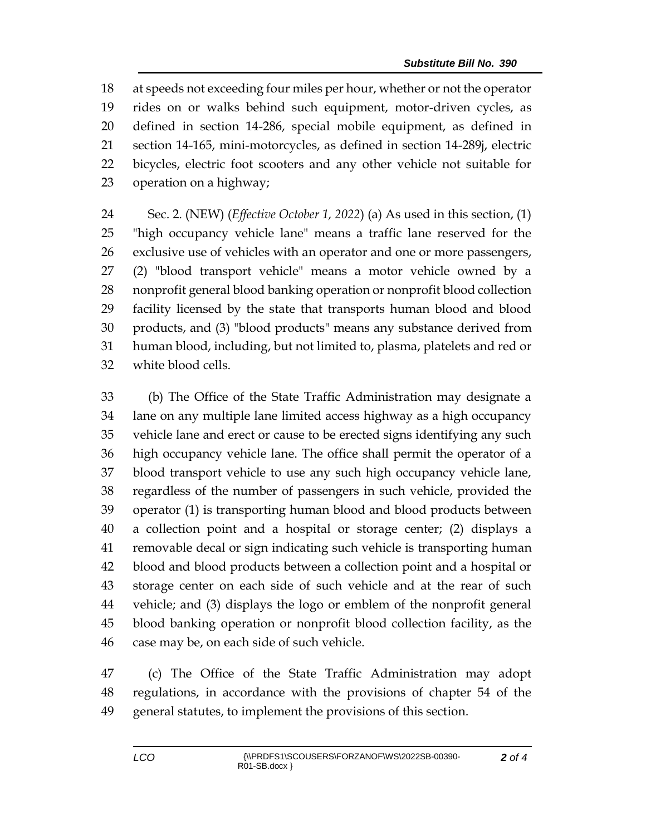at speeds not exceeding four miles per hour, whether or not the operator rides on or walks behind such equipment, motor-driven cycles, as defined in section 14-286, special mobile equipment, as defined in section 14-165, mini-motorcycles, as defined in section 14-289j, electric bicycles, electric foot scooters and any other vehicle not suitable for operation on a highway;

 Sec. 2. (NEW) (*Effective October 1, 2022*) (a) As used in this section, (1) "high occupancy vehicle lane" means a traffic lane reserved for the exclusive use of vehicles with an operator and one or more passengers, (2) "blood transport vehicle" means a motor vehicle owned by a nonprofit general blood banking operation or nonprofit blood collection facility licensed by the state that transports human blood and blood products, and (3) "blood products" means any substance derived from human blood, including, but not limited to, plasma, platelets and red or white blood cells.

 (b) The Office of the State Traffic Administration may designate a lane on any multiple lane limited access highway as a high occupancy vehicle lane and erect or cause to be erected signs identifying any such high occupancy vehicle lane. The office shall permit the operator of a blood transport vehicle to use any such high occupancy vehicle lane, regardless of the number of passengers in such vehicle, provided the operator (1) is transporting human blood and blood products between a collection point and a hospital or storage center; (2) displays a removable decal or sign indicating such vehicle is transporting human blood and blood products between a collection point and a hospital or storage center on each side of such vehicle and at the rear of such vehicle; and (3) displays the logo or emblem of the nonprofit general blood banking operation or nonprofit blood collection facility, as the case may be, on each side of such vehicle.

 (c) The Office of the State Traffic Administration may adopt regulations, in accordance with the provisions of chapter 54 of the general statutes, to implement the provisions of this section.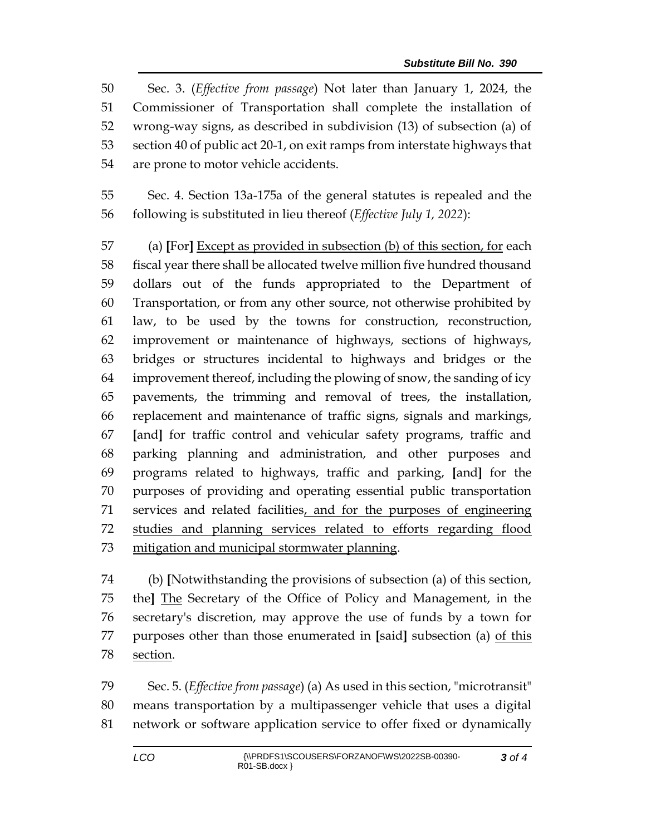Sec. 3. (*Effective from passage*) Not later than January 1, 2024, the Commissioner of Transportation shall complete the installation of wrong-way signs, as described in subdivision (13) of subsection (a) of section 40 of public act 20-1, on exit ramps from interstate highways that are prone to motor vehicle accidents.

 Sec. 4. Section 13a-175a of the general statutes is repealed and the following is substituted in lieu thereof (*Effective July 1, 2022*):

 (a) **[**For**]** Except as provided in subsection (b) of this section, for each fiscal year there shall be allocated twelve million five hundred thousand dollars out of the funds appropriated to the Department of Transportation, or from any other source, not otherwise prohibited by law, to be used by the towns for construction, reconstruction, improvement or maintenance of highways, sections of highways, bridges or structures incidental to highways and bridges or the improvement thereof, including the plowing of snow, the sanding of icy pavements, the trimming and removal of trees, the installation, replacement and maintenance of traffic signs, signals and markings, **[**and**]** for traffic control and vehicular safety programs, traffic and parking planning and administration, and other purposes and programs related to highways, traffic and parking, **[**and**]** for the purposes of providing and operating essential public transportation services and related facilities, and for the purposes of engineering studies and planning services related to efforts regarding flood mitigation and municipal stormwater planning.

 (b) **[**Notwithstanding the provisions of subsection (a) of this section, the**]** The Secretary of the Office of Policy and Management, in the secretary's discretion, may approve the use of funds by a town for purposes other than those enumerated in **[**said**]** subsection (a) of this section.

 Sec. 5. (*Effective from passage*) (a) As used in this section, "microtransit" means transportation by a multipassenger vehicle that uses a digital network or software application service to offer fixed or dynamically